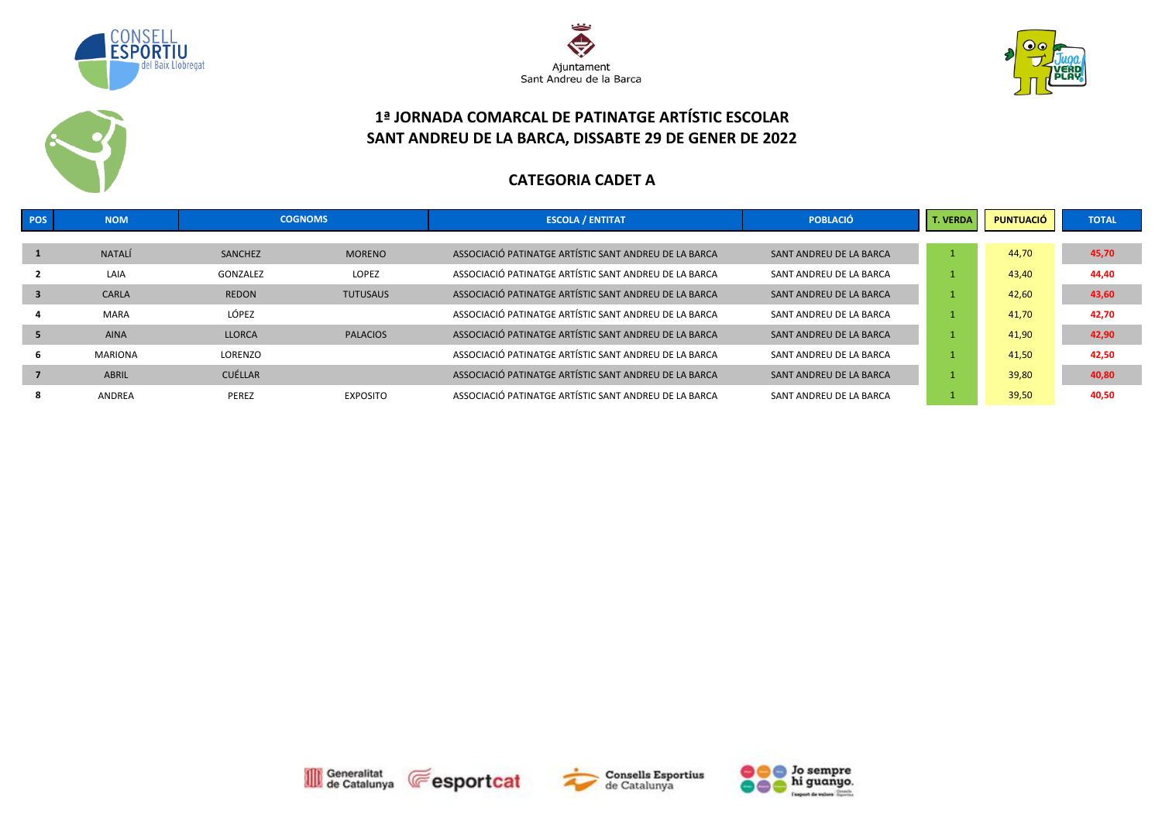





### **1ª JORNADA COMARCAL DE PATINATGE ARTÍSTIC ESCOLAR SANT ANDREU DE LA BARCA, DISSABTE 29 DE GENER DE 2022**

#### **CATEGORIA CADET A**

| POS | <b>NOM</b>     | <b>COGNOMS</b> |                 | <b>ESCOLA / ENTITAT</b>                               | <b>POBLACIÓ</b>         | <b>T. VERDA</b> | <b>PUNTUACIÓ</b> | <b>TOTAL</b> |
|-----|----------------|----------------|-----------------|-------------------------------------------------------|-------------------------|-----------------|------------------|--------------|
|     |                |                |                 |                                                       |                         |                 |                  |              |
|     | <b>NATALÍ</b>  | SANCHEZ        | <b>MORENO</b>   | ASSOCIACIÓ PATINATGE ARTÍSTIC SANT ANDREU DE LA BARCA | SANT ANDREU DE LA BARCA |                 | 44,70            | 45,70        |
|     | LAIA           | GONZALEZ       | <b>LOPEZ</b>    | ASSOCIACIÓ PATINATGE ARTÍSTIC SANT ANDREU DE LA BARCA | SANT ANDREU DE LA BARCA |                 | 43,40            | 44,40        |
| 3   | CARLA          | <b>REDON</b>   | <b>TUTUSAUS</b> | ASSOCIACIÓ PATINATGE ARTÍSTIC SANT ANDREU DE LA BARCA | SANT ANDREU DE LA BARCA |                 | 42,60            | 43,60        |
|     | <b>MARA</b>    | LÓPEZ          |                 | ASSOCIACIÓ PATINATGE ARTÍSTIC SANT ANDREU DE LA BARCA | SANT ANDREU DE LA BARCA |                 | 41,70            | 42,70        |
| 5   | <b>AINA</b>    | <b>LLORCA</b>  | <b>PALACIOS</b> | ASSOCIACIÓ PATINATGE ARTÍSTIC SANT ANDREU DE LA BARCA | SANT ANDREU DE LA BARCA |                 | 41,90            | 42,90        |
| b   | <b>MARIONA</b> | LORENZO        |                 | ASSOCIACIÓ PATINATGE ARTÍSTIC SANT ANDREU DE LA BARCA | SANT ANDREU DE LA BARCA |                 | 41,50            | 42,50        |
|     | <b>ABRIL</b>   | CUÉLLAR        |                 | ASSOCIACIÓ PATINATGE ARTÍSTIC SANT ANDREU DE LA BARCA | SANT ANDREU DE LA BARCA |                 | 39,80            | 40,80        |
| ō   | ANDREA         | PEREZ          | <b>EXPOSITO</b> | ASSOCIACIÓ PATINATGE ARTÍSTIC SANT ANDREU DE LA BARCA | SANT ANDREU DE LA BARCA |                 | 39,50            | 40,50        |







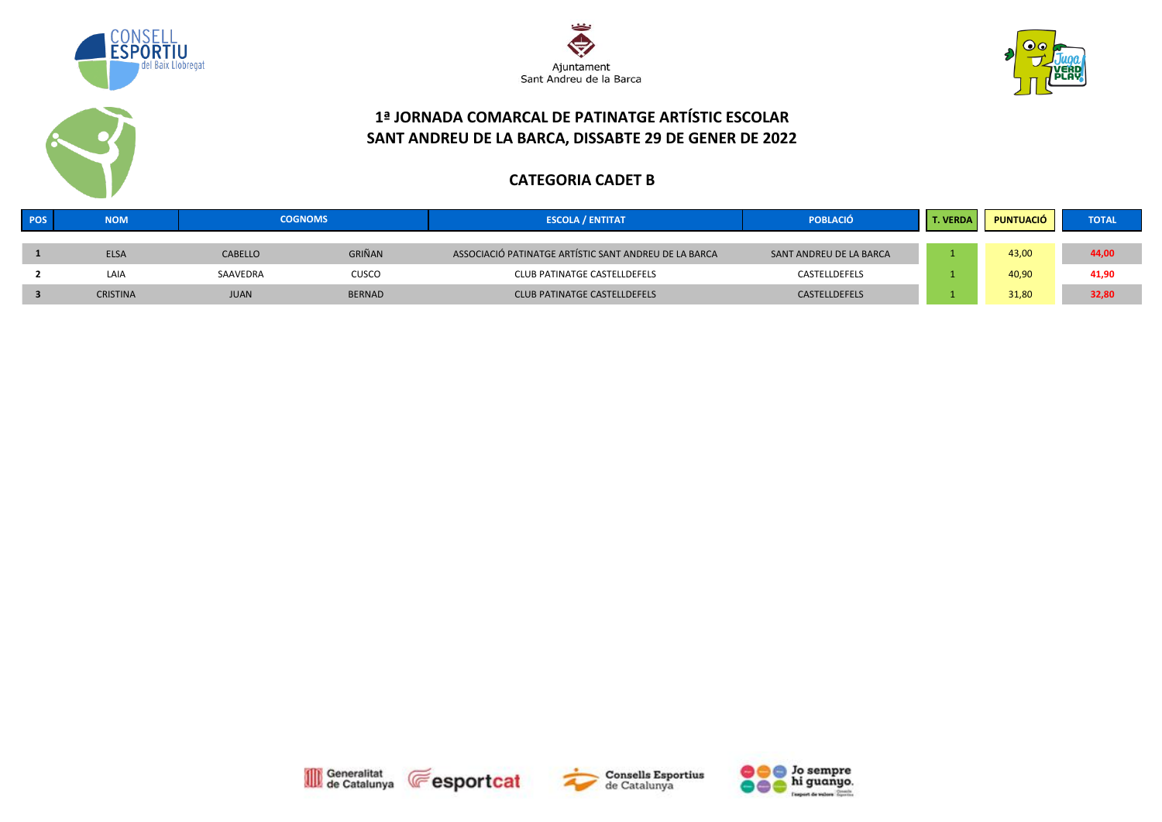





### **1ª JORNADA COMARCAL DE PATINATGE ARTÍSTIC ESCOLAR SANT ANDREU DE LA BARCA, DISSABTE 29 DE GENER DE 2022**

#### **CATEGORIA CADET B**

| POS | <b>NOM</b>      | <b>COGNOMS</b> |               | <b>ESCOLA / ENTITAT</b>                               | <b>POBLACIÓ</b>         | <b>T. VERDA</b> | PUNTUACIÓ | <b>TOTAL</b> |
|-----|-----------------|----------------|---------------|-------------------------------------------------------|-------------------------|-----------------|-----------|--------------|
|     | <b>ELSA</b>     | <b>CABELLO</b> | GRIÑAN        | ASSOCIACIÓ PATINATGE ARTÍSTIC SANT ANDREU DE LA BARCA | SANT ANDREU DE LA BARCA |                 | 43,00     | 44,00        |
|     | LAIA            | SAAVEDRA       | CUSCO         | CLUB PATINATGE CASTELLDEFELS                          | CASTELLDEFELS           |                 | 40,90     | 41,90        |
|     | <b>CRISTINA</b> | <b>JUAN</b>    | <b>BERNAD</b> | <b>CLUB PATINATGE CASTELLDEFELS</b>                   | CASTELLDEFELS           |                 | 31,80     | 32,80        |







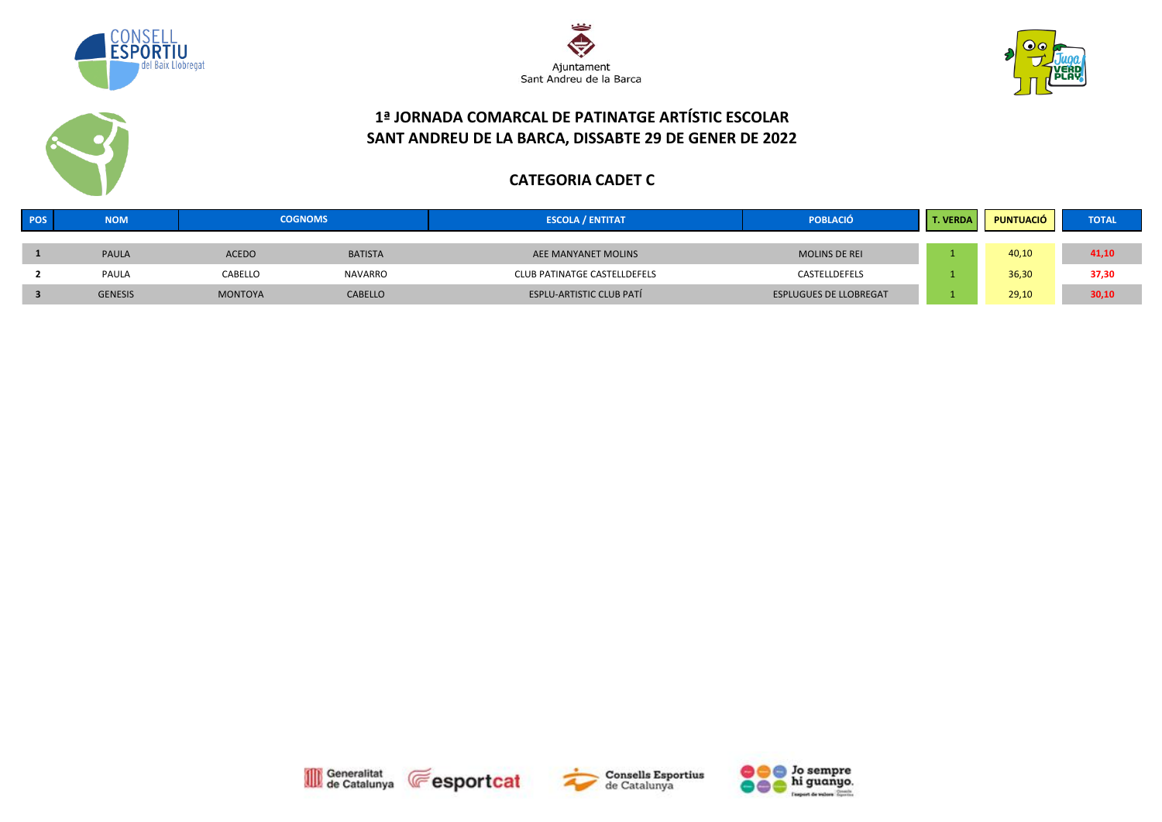





### **1ª JORNADA COMARCAL DE PATINATGE ARTÍSTIC ESCOLAR SANT ANDREU DE LA BARCA, DISSABTE 29 DE GENER DE 2022**

#### **CATEGORIA CADET C**

| POS | <b>NOM</b>     | <b>COGNOMS</b> |                | <b>ESCOLA / ENTITAT</b>         | <b>POBLACIÓ</b>               | <b>VERDA</b> | <b>PUNTUACIÓ</b> | <b>TOTAL</b> |
|-----|----------------|----------------|----------------|---------------------------------|-------------------------------|--------------|------------------|--------------|
|     |                |                |                |                                 |                               |              |                  |              |
|     | <b>PAULA</b>   | <b>ACEDO</b>   | <b>BATISTA</b> | AEE MANYANET MOLINS             | <b>MOLINS DE REI</b>          |              | 40,10            | 41,10        |
|     | <b>PAULA</b>   | CABELLO        | <b>NAVARRO</b> | CLUB PATINATGE CASTELLDEFELS    | CASTELLDEFELS                 |              | 36,30            | 37,30        |
|     | <b>GENESIS</b> | <b>MONTOYA</b> | <b>CABELLO</b> | <b>ESPLU-ARTISTIC CLUB PATÍ</b> | <b>ESPLUGUES DE LLOBREGAT</b> |              | 29,10            | 30,10        |







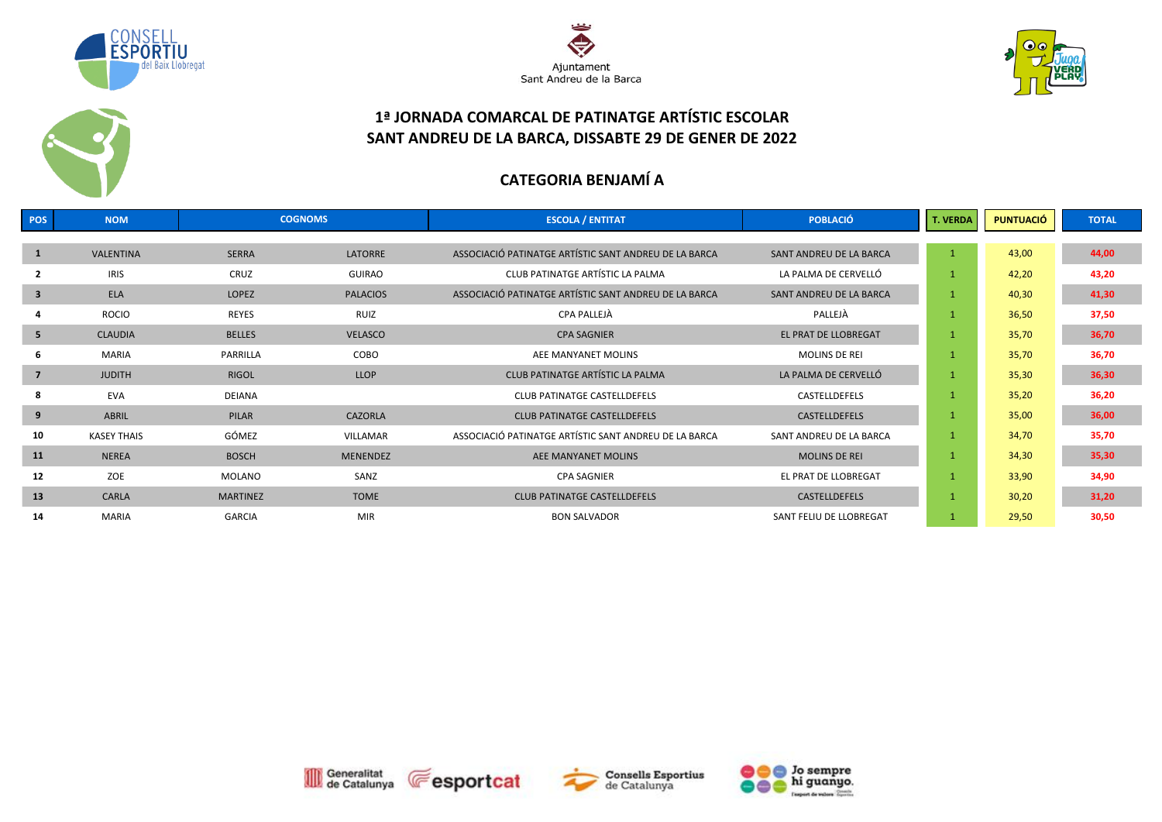





### **1ª JORNADA COMARCAL DE PATINATGE ARTÍSTIC ESCOLAR SANT ANDREU DE LA BARCA, DISSABTE 29 DE GENER DE 2022**

# **CATEGORIA BENJAMÍ A**

| POS            | <b>NOM</b>         | <b>COGNOMS</b>  |                 | <b>ESCOLA / ENTITAT</b>                               | <b>POBLACIÓ</b>         | T. VERDA     | <b>PUNTUACIÓ</b> | <b>TOTAL</b> |
|----------------|--------------------|-----------------|-----------------|-------------------------------------------------------|-------------------------|--------------|------------------|--------------|
|                |                    |                 |                 |                                                       |                         |              |                  |              |
| <sup>1</sup>   | VALENTINA          | <b>SERRA</b>    | <b>LATORRE</b>  | ASSOCIACIÓ PATINATGE ARTÍSTIC SANT ANDREU DE LA BARCA | SANT ANDREU DE LA BARCA | $\mathbf{1}$ | 43,00            | 44,00        |
|                | <b>IRIS</b>        | CRUZ            | <b>GUIRAO</b>   | CLUB PATINATGE ARTÍSTIC LA PALMA                      | LA PALMA DE CERVELLÓ    | 1            | 42,20            | 43,20        |
| 3              | <b>ELA</b>         | LOPEZ           | <b>PALACIOS</b> | ASSOCIACIÓ PATINATGE ARTÍSTIC SANT ANDREU DE LA BARCA | SANT ANDREU DE LA BARCA | 1            | 40,30            | 41,30        |
|                | <b>ROCIO</b>       | <b>REYES</b>    | <b>RUIZ</b>     | CPA PALLEJÀ                                           | PALLEJÀ                 |              | 36,50            | 37,50        |
| 5              | <b>CLAUDIA</b>     | <b>BELLES</b>   | <b>VELASCO</b>  | <b>CPA SAGNIER</b>                                    | EL PRAT DE LLOBREGAT    | 1            | 35,70            | 36,70        |
| -6             | <b>MARIA</b>       | PARRILLA        | COBO            | AEE MANYANET MOLINS                                   | <b>MOLINS DE REI</b>    |              | 35,70            | 36,70        |
| $\overline{7}$ | <b>JUDITH</b>      | <b>RIGOL</b>    | <b>LLOP</b>     | CLUB PATINATGE ARTÍSTIC LA PALMA                      | LA PALMA DE CERVELLÓ    | $\mathbf{1}$ | 35,30            | 36,30        |
| 8              | EVA                | DEIANA          |                 | CLUB PATINATGE CASTELLDEFELS                          | CASTELLDEFELS           | 1            | 35,20            | 36,20        |
| 9              | ABRIL              | PILAR           | <b>CAZORLA</b>  | <b>CLUB PATINATGE CASTELLDEFELS</b>                   | CASTELLDEFELS           |              | 35,00            | 36,00        |
| 10             | <b>KASEY THAIS</b> | GÓMEZ           | VILLAMAR        | ASSOCIACIÓ PATINATGE ARTÍSTIC SANT ANDREU DE LA BARCA | SANT ANDREU DE LA BARCA | $\mathbf{1}$ | 34,70            | 35,70        |
| 11             | <b>NEREA</b>       | <b>BOSCH</b>    | <b>MENENDEZ</b> | AEE MANYANET MOLINS                                   | <b>MOLINS DE REI</b>    |              | 34,30            | 35,30        |
| 12             | ZOE                | MOLANO          | SANZ            | <b>CPA SAGNIER</b>                                    | EL PRAT DE LLOBREGAT    | $\mathbf{1}$ | 33,90            | 34,90        |
| 13             | CARLA              | <b>MARTINEZ</b> | <b>TOME</b>     | <b>CLUB PATINATGE CASTELLDEFELS</b>                   | CASTELLDEFELS           |              | 30,20            | 31,20        |
| 14             | MARIA              | <b>GARCIA</b>   | MIR             | <b>BON SALVADOR</b>                                   | SANT FELIU DE LLOBREGAT |              | 29,50            | 30,50        |







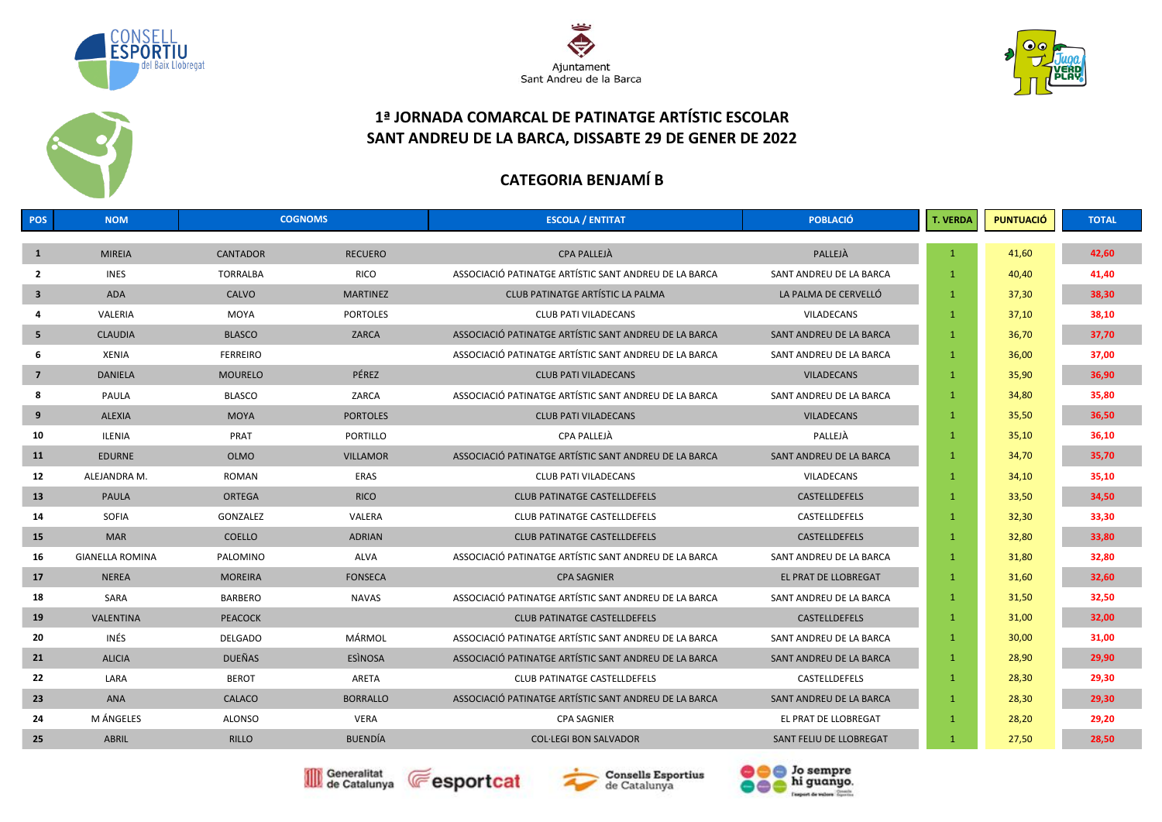





### **1ª JORNADA COMARCAL DE PATINATGE ARTÍSTIC ESCOLAR SANT ANDREU DE LA BARCA, DISSABTE 29 DE GENER DE 2022**

# **CATEGORIA BENJAMÍ B**

| POS                     | <b>NOM</b>             | <b>COGNOMS</b>  |                 | <b>ESCOLA / ENTITAT</b>                               | <b>POBLACIÓ</b>         | <b>T. VERDA</b> | <b>PUNTUACIÓ</b> | <b>TOTAL</b> |
|-------------------------|------------------------|-----------------|-----------------|-------------------------------------------------------|-------------------------|-----------------|------------------|--------------|
| $\mathbf{1}$            | <b>MIREIA</b>          | <b>CANTADOR</b> | <b>RECUERO</b>  | <b>CPA PALLEJÀ</b>                                    | PALLEJÀ                 | $\mathbf{1}$    | 41,60            | 42,60        |
| $\overline{2}$          | <b>INES</b>            | <b>TORRALBA</b> | <b>RICO</b>     | ASSOCIACIÓ PATINATGE ARTÍSTIC SANT ANDREU DE LA BARCA | SANT ANDREU DE LA BARCA | $\mathbf{1}$    | 40,40            | 41,40        |
| $\overline{\mathbf{3}}$ | <b>ADA</b>             | CALVO           | <b>MARTINEZ</b> | CLUB PATINATGE ARTÍSTIC LA PALMA                      | LA PALMA DE CERVELLÓ    | $\mathbf{1}$    | 37,30            | 38,30        |
| $\Delta$                |                        |                 |                 |                                                       |                         |                 |                  |              |
|                         | VALERIA                | <b>MOYA</b>     | <b>PORTOLES</b> | <b>CLUB PATI VILADECANS</b>                           | <b>VILADECANS</b>       | $\mathbf{1}$    | 37,10            | 38,10        |
| 5                       | <b>CLAUDIA</b>         | <b>BLASCO</b>   | ZARCA           | ASSOCIACIÓ PATINATGE ARTÍSTIC SANT ANDREU DE LA BARCA | SANT ANDREU DE LA BARCA | $\mathbf{1}$    | 36,70            | 37,70        |
| 6                       | XENIA                  | <b>FERREIRO</b> |                 | ASSOCIACIÓ PATINATGE ARTÍSTIC SANT ANDREU DE LA BARCA | SANT ANDREU DE LA BARCA | $\mathbf{1}$    | 36,00            | 37,00        |
| $\overline{7}$          | <b>DANIELA</b>         | <b>MOURELO</b>  | PÉREZ           | <b>CLUB PATI VILADECANS</b>                           | <b>VILADECANS</b>       | $\mathbf{1}$    | 35,90            | 36,90        |
| 8                       | PAULA                  | <b>BLASCO</b>   | ZARCA           | ASSOCIACIÓ PATINATGE ARTÍSTIC SANT ANDREU DE LA BARCA | SANT ANDREU DE LA BARCA | $\mathbf{1}$    | 34,80            | 35,80        |
| 9                       | <b>ALEXIA</b>          | <b>MOYA</b>     | <b>PORTOLES</b> | <b>CLUB PATI VILADECANS</b>                           | <b>VILADECANS</b>       | $\mathbf{1}$    | 35,50            | 36,50        |
| 10                      | ILENIA                 | PRAT            | PORTILLO        | CPA PALLEJÀ                                           | PALLEJÀ                 | $\mathbf{1}$    | 35,10            | 36,10        |
| 11                      | <b>EDURNE</b>          | <b>OLMO</b>     | <b>VILLAMOR</b> | ASSOCIACIÓ PATINATGE ARTÍSTIC SANT ANDREU DE LA BARCA | SANT ANDREU DE LA BARCA | $\mathbf{1}$    | 34,70            | 35,70        |
| 12                      | ALEJANDRA M.           | <b>ROMAN</b>    | ERAS            | <b>CLUB PATI VILADECANS</b>                           | <b>VILADECANS</b>       | $\mathbf{1}$    | 34,10            | 35,10        |
| 13                      | <b>PAULA</b>           | <b>ORTEGA</b>   | <b>RICO</b>     | <b>CLUB PATINATGE CASTELLDEFELS</b>                   | CASTELLDEFELS           | $\mathbf{1}$    | 33,50            | 34,50        |
| 14                      | SOFIA                  | GONZALEZ        | VALERA          | <b>CLUB PATINATGE CASTELLDEFELS</b>                   | CASTELLDEFELS           | $\mathbf{1}$    | 32,30            | 33,30        |
| 15                      | <b>MAR</b>             | <b>COELLO</b>   | <b>ADRIAN</b>   | <b>CLUB PATINATGE CASTELLDEFELS</b>                   | CASTELLDEFELS           | $\mathbf{1}$    | 32,80            | 33,80        |
| 16                      | <b>GIANELLA ROMINA</b> | PALOMINO        | ALVA            | ASSOCIACIÓ PATINATGE ARTÍSTIC SANT ANDREU DE LA BARCA | SANT ANDREU DE LA BARCA | $\mathbf{1}$    | 31,80            | 32,80        |
| 17                      | <b>NEREA</b>           | <b>MOREIRA</b>  | <b>FONSECA</b>  | <b>CPA SAGNIER</b>                                    | EL PRAT DE LLOBREGAT    | $\mathbf{1}$    | 31,60            | 32,60        |
| 18                      | SARA                   | <b>BARBERO</b>  | NAVAS           | ASSOCIACIÓ PATINATGE ARTÍSTIC SANT ANDREU DE LA BARCA | SANT ANDREU DE LA BARCA | $\mathbf{1}$    | 31,50            | 32,50        |
| 19                      | <b>VALENTINA</b>       | <b>PEACOCK</b>  |                 | <b>CLUB PATINATGE CASTELLDEFELS</b>                   | CASTELLDEFELS           | 1               | 31,00            | 32,00        |
| 20                      | INÉS                   | <b>DELGADO</b>  | MÁRMOL          | ASSOCIACIÓ PATINATGE ARTÍSTIC SANT ANDREU DE LA BARCA | SANT ANDREU DE LA BARCA | $\mathbf{1}$    | 30,00            | 31,00        |
| 21                      | <b>ALICIA</b>          | <b>DUEÑAS</b>   | <b>ESINOSA</b>  | ASSOCIACIÓ PATINATGE ARTÍSTIC SANT ANDREU DE LA BARCA | SANT ANDREU DE LA BARCA | $\mathbf{1}$    | 28,90            | 29,90        |
| 22                      | LARA                   | <b>BEROT</b>    | ARETA           | CLUB PATINATGE CASTELLDEFELS                          | CASTELLDEFELS           | $\mathbf{1}$    | 28,30            | 29,30        |
| 23                      | <b>ANA</b>             | CALACO          | <b>BORRALLO</b> | ASSOCIACIÓ PATINATGE ARTÍSTIC SANT ANDREU DE LA BARCA | SANT ANDREU DE LA BARCA | $\mathbf{1}$    | 28,30            | 29,30        |
| 24                      | M ÁNGELES              | <b>ALONSO</b>   | <b>VERA</b>     | <b>CPA SAGNIER</b>                                    | EL PRAT DE LLOBREGAT    | $\mathbf{1}$    | 28,20            | 29,20        |
| 25                      | ABRIL                  | <b>RILLO</b>    | <b>BUENDÍA</b>  | <b>COL·LEGI BON SALVADOR</b>                          | SANT FELIU DE LLOBREGAT |                 | 27,50            | 28,50        |